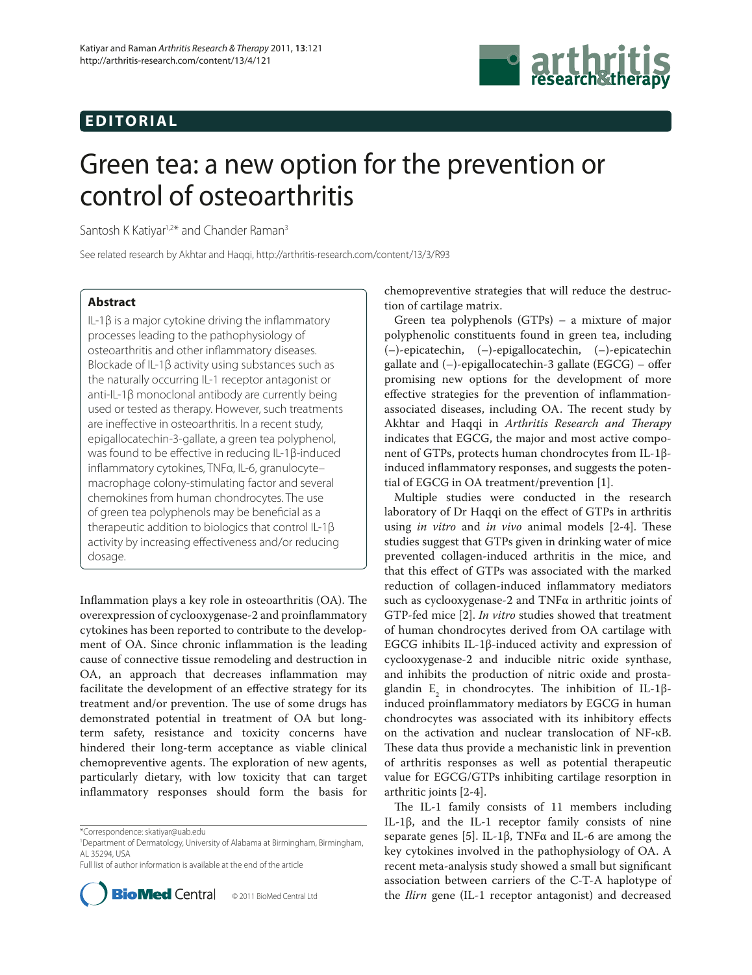## **EDITORIAL**



# Green tea: a new option for the prevention or control of osteoarthritis

Santosh K Kativar<sup>1,2\*</sup> and Chander Raman<sup>3</sup>

See related research by Akhtar and Haqqi, http://arthritis-research.com/content/13/3/R93

### **Abstract**

IL-1β is a major cytokine driving the inflammatory processes leading to the pathophysiology of osteoarthritis and other inflammatory diseases. Blockade of IL-1β activity using substances such as the naturally occurring IL-1 receptor antagonist or anti-IL-1β monoclonal antibody are currently being used or tested as therapy. However, such treatments are ineffective in osteoarthritis. In a recent study, epigallocatechin-3-gallate, a green tea polyphenol, was found to be effective in reducing IL-1β-induced inflammatory cytokines, TNFα, IL-6, granulocytemacrophage colony-stimulating factor and several chemokines from human chondrocytes. The use of green tea polyphenols may be beneficial as a therapeutic addition to biologics that control IL-1β activity by increasing effectiveness and/or reducing dosage.

Inflammation plays a key role in osteoarthritis  $(OA)$ . The overexpression of cyclooxygenase-2 and proinflammatory cytokines has been reported to contribute to the development of OA. Since chronic inflammation is the leading cause of connective tissue remodeling and destruction in OA, an approach that decreases inflammation may facilitate the development of an effective strategy for its treatment and/or prevention. The use of some drugs has demonstrated potential in treatment of OA but longterm safety, resistance and toxicity concerns have hindered their long-term acceptance as viable clinical chemopreventive agents. The exploration of new agents, particularly dietary, with low toxicity that can target inflammatory responses should form the basis for

Full list of author information is available at the end of the article



chemopreventive strategies that will reduce the destruction of cartilage matrix.

Green tea polyphenols (GTPs) – a mixture of major polyphenolic constituents found in green tea, including (–)-epicatechin, (–)-epigallocatechin, (–)-epicatechin gallate and  $(-)$ -epigallocatechin-3 gallate (EGCG) – offer promising new options for the development of more effective strategies for the prevention of inflammationassociated diseases, including OA. The recent study by Akhtar and Haqqi in *Arthritis Research and Therapy* indicates that EGCG, the major and most active component of GTPs, protects human chondrocytes from IL-1βinduced inflammatory responses, and suggests the potential of EGCG in OA treatment/prevention [1].

Multiple studies were conducted in the research laboratory of Dr Haqqi on the effect of GTPs in arthritis using *in vitro* and *in vivo* animal models [2-4]. These studies suggest that GTPs given in drinking water of mice prevented collagen-induced arthritis in the mice, and that this effect of GTPs was associated with the marked reduction of collagen-induced inflammatory mediators such as cyclooxygenase-2 and TNFα in arthritic joints of GTP-fed mice [2]. *In vitro* studies showed that treatment of human chondrocytes derived from OA cartilage with EGCG inhibits IL-1β-induced activity and expression of cyclo oxygenase-2 and inducible nitric oxide synthase, and inhibits the production of nitric oxide and prostaglandin  $E_2$  in chondrocytes. The inhibition of IL-1βinduced proinflammatory mediators by EGCG in human chondrocytes was associated with its inhibitory effects on the activation and nuclear translocation of NF-κB. These data thus provide a mechanistic link in prevention of arthritis responses as well as potential therapeutic value for EGCG/GTPs inhibiting cartilage resorption in arthritic joints [2-4].

The IL-1 family consists of 11 members including IL-1β, and the IL-1 receptor family consists of nine separate genes [5]. IL-1β, TNFα and IL-6 are among the key cytokines involved in the pathophysiology of OA. A recent meta-analysis study showed a small but significant association between carriers of the C-T-A haplotype of the *Ilirn* gene (IL-1 receptor antagonist) and decreased

<sup>\*</sup>Correspondence: skatiyar@uab.edu

<sup>1</sup> Department of Dermatology, University of Alabama at Birmingham, Birmingham, AL 35294, USA